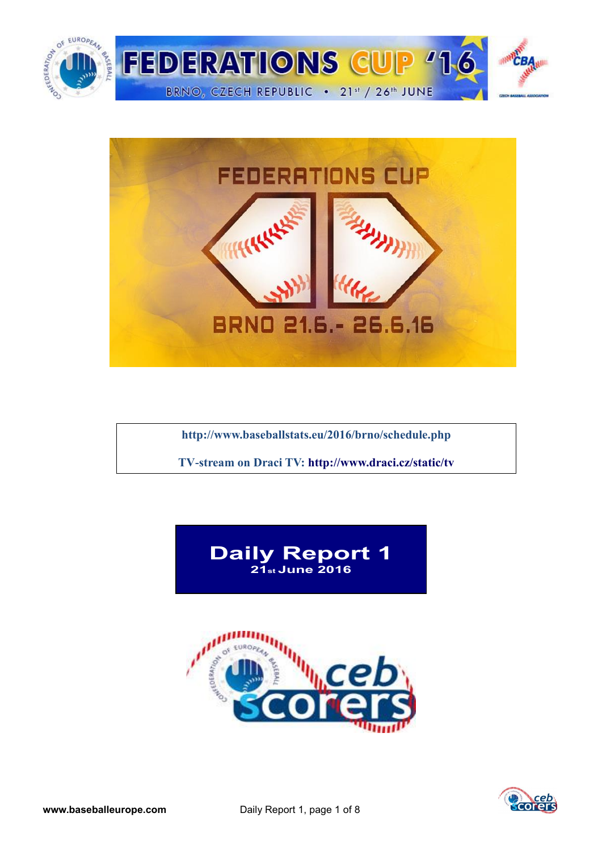



**<http://www.baseballstats.eu/2016/brno/schedule.php>**

**TV-stream on Draci TV:<http://www.draci.cz/static/tv>**





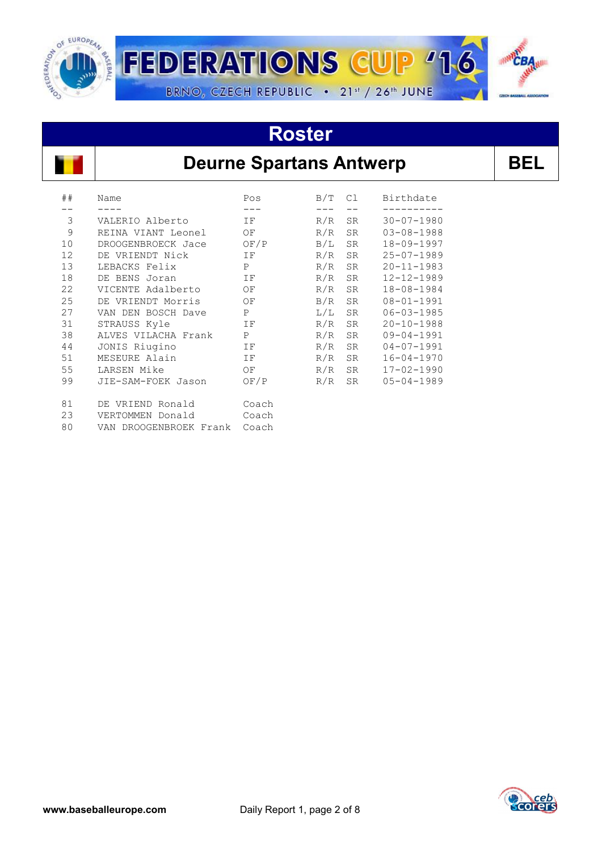

# **Roster**



## **Deurne Spartans Antwerp | BEL**

| ## | Name                      | Pos         | B/T | C1        | Birthdate        |
|----|---------------------------|-------------|-----|-----------|------------------|
|    |                           |             |     |           |                  |
| 3  | VALERIO Alberto           | IF          | R/R | SR        | $30 - 07 - 1980$ |
| 9  | REINA VIANT Leonel        | OF          | R/R | <b>SR</b> | $03 - 08 - 1988$ |
| 10 | DROOGENBROECK Jace        | OF/P        | B/L | <b>SR</b> | $18 - 09 - 1997$ |
| 12 | DE VRIENDT Nick           | ΙF          | R/R | <b>SR</b> | $25 - 07 - 1989$ |
| 13 | LEBACKS Felix             | $\mathbf P$ | R/R | <b>SR</b> | $20 - 11 - 1983$ |
| 18 | DE BENS Joran             | ΙF          | R/R | <b>SR</b> | $12 - 12 - 1989$ |
| 22 | VICENTE Adalberto         | ΟF          | R/R | <b>SR</b> | 18-08-1984       |
| 25 | DE VRIENDT Morris         | ΟF          | B/R | <b>SR</b> | $08 - 01 - 1991$ |
| 27 | VAN DEN BOSCH Dave        | Ρ           | L/L | <b>SR</b> | $06 - 03 - 1985$ |
| 31 | STRAUSS Kyle              | ΙF          | R/R | <b>SR</b> | $20 - 10 - 1988$ |
| 38 | ALVES VILACHA Frank       | P           | R/R | <b>SR</b> | $09 - 04 - 1991$ |
| 44 | JONIS Riugino             | ΙF          | R/R | SR        | $04 - 07 - 1991$ |
| 51 | MESEURE Alain             | ΙF          | R/R | <b>SR</b> | $16 - 04 - 1970$ |
| 55 | LARSEN Mike               | OF          | R/R | <b>SR</b> | $17 - 02 - 1990$ |
| 99 | JIE-SAM-FOEK Jason        | OF/P        | R/R | <b>SR</b> | $05 - 04 - 1989$ |
| 81 | DE VRIEND Ronald          | Coach       |     |           |                  |
| 23 | VERTOMMEN Donald          | Coach       |     |           |                  |
| 80 | DROOGENBROEK Frank<br>VAN | Coach       |     |           |                  |

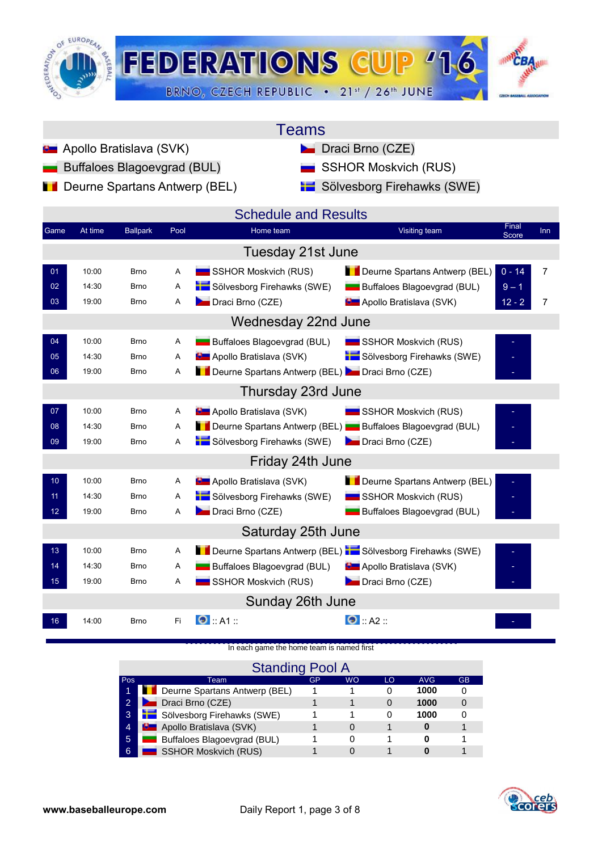

| Teams |  |
|-------|--|
|       |  |

- **Apollo Bratislava (SVK)** Draci Brno (CZE)
	- Buffaloes Blagoevgrad (BUL) **SSHOR Moskvich (RUS)**
- **Deurne Spartans Antwerp (BEL)** Sölvesborg Firehawks (SWE)
- -

| Game            | At time | <b>Ballpark</b> | Pool | <b>Schedule and Results</b><br>Home team                             | Final<br>Visiting team                       | <b>Inn</b>     |
|-----------------|---------|-----------------|------|----------------------------------------------------------------------|----------------------------------------------|----------------|
|                 |         |                 |      |                                                                      | Score                                        |                |
|                 |         |                 |      | Tuesday 21st June                                                    |                                              |                |
| 01              | 10:00   | <b>Brno</b>     | A    | SSHOR Moskvich (RUS)                                                 | $0 - 14$<br>Deurne Spartans Antwerp (BEL)    | $\overline{7}$ |
| 02              | 14:30   | <b>Brno</b>     | Α    | Sölvesborg Firehawks (SWE)                                           | Buffaloes Blagoevgrad (BUL)<br>$9 - 1$       |                |
| 03              | 19:00   | Brno            | Α    | Draci Brno (CZE)                                                     | <b>D</b> Apollo Bratislava (SVK)<br>$12 - 2$ | $\overline{7}$ |
|                 |         |                 |      | Wednesday 22nd June                                                  |                                              |                |
| 04              | 10:00   | <b>Brno</b>     | Α    | Buffaloes Blagoevgrad (BUL)                                          | SSHOR Moskvich (RUS)                         |                |
| 05              | 14:30   | <b>Brno</b>     | Α    | <b>D</b> Apollo Bratislava (SVK)                                     | Sölvesborg Firehawks (SWE)                   |                |
| 06              | 19:00   | <b>Brno</b>     | A    | Deurne Spartans Antwerp (BEL) Draci Brno (CZE)                       |                                              |                |
|                 |         |                 |      | Thursday 23rd June                                                   |                                              |                |
| 07              | 10:00   | <b>Brno</b>     | Α    | <b>D</b> Apollo Bratislava (SVK)                                     | SSHOR Moskvich (RUS)                         |                |
| 08              | 14:30   | <b>Brno</b>     | A    | Deurne Spartans Antwerp (BEL) Buffaloes Blagoevgrad (BUL)            |                                              |                |
| 09              | 19:00   | <b>Brno</b>     | Α    | Sölvesborg Firehawks (SWE)                                           | Draci Brno (CZE)                             |                |
|                 |         |                 |      | Friday 24th June                                                     |                                              |                |
| 10 <sub>1</sub> | 10:00   | <b>Brno</b>     | A    | <b>D</b> Apollo Bratislava (SVK)                                     | Deurne Spartans Antwerp (BEL)                |                |
| 11              | 14:30   | <b>Brno</b>     | A    | Sölvesborg Firehawks (SWE)                                           | SSHOR Moskvich (RUS)                         |                |
| 12 <sup>°</sup> | 19:00   | <b>Brno</b>     | A    | Draci Brno (CZE)                                                     | Buffaloes Blagoevgrad (BUL)                  |                |
|                 |         |                 |      | Saturday 25th June                                                   |                                              |                |
| 13              | 10:00   | <b>Brno</b>     | A    | Deurne Spartans Antwerp (BEL) <b>Note Solvesborg Firehawks (SWE)</b> |                                              |                |
| 14              | 14:30   | <b>Brno</b>     | Α    | Buffaloes Blagoevgrad (BUL)                                          | <b>B</b> Apollo Bratislava (SVK)             |                |
| 15 <sub>1</sub> | 19:00   | Brno            | Α    | SSHOR Moskvich (RUS)                                                 | Draci Brno (CZE)                             |                |
|                 |         |                 |      | Sunday 26th June                                                     |                                              |                |
| 16              | 14:00   | <b>Brno</b>     | Fi   | $\bullet$ : A1 ::                                                    | $\bullet$ :: A2 ::                           |                |

[In each game the home team is named first](http://score.cebeurope.com/2013/antwerp/login.php)

|                | <b>Standing Pool A</b>               |    |           |    |            |           |  |  |  |  |  |  |  |  |  |
|----------------|--------------------------------------|----|-----------|----|------------|-----------|--|--|--|--|--|--|--|--|--|
| Pos            | Team.                                | GP | <b>WO</b> | LO | <b>AVG</b> | <b>GB</b> |  |  |  |  |  |  |  |  |  |
| 1              | <b>Deurne Spartans Antwerp (BEL)</b> |    |           |    | 1000       |           |  |  |  |  |  |  |  |  |  |
| $\overline{2}$ | Draci Brno (CZE)                     |    |           | 0  | 1000       |           |  |  |  |  |  |  |  |  |  |
| $\overline{3}$ | Sölvesborg Firehawks (SWE)           |    |           | Ω  | 1000       |           |  |  |  |  |  |  |  |  |  |
| $\overline{4}$ | <b>D</b> Apollo Bratislava (SVK)     |    | 0         |    | 0          |           |  |  |  |  |  |  |  |  |  |
| 5              | Buffaloes Blagoevgrad (BUL)          |    |           |    | O          |           |  |  |  |  |  |  |  |  |  |
| 6              | <b>SSHOR Moskvich (RUS)</b>          |    |           |    |            |           |  |  |  |  |  |  |  |  |  |

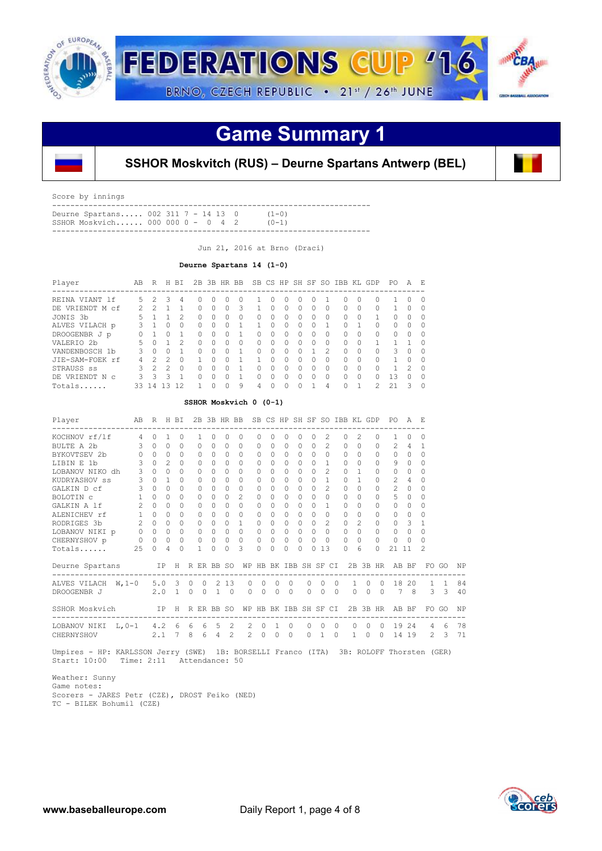

# **Game Summary 1**



**SSHOR Moskvitch (RUS) – Deurne Spartans Antwerp (BEL)**

Score by innings

| SSHOR Moskvich 000 000 0 - 0 4 2    |  |  |  | $(0 - 1)$ |  |
|-------------------------------------|--|--|--|-----------|--|
| Deurne Spartans 002 311 7 - 14 13 0 |  |  |  | $(1 - 0)$ |  |
|                                     |  |  |  |           |  |

Jun 21, 2016 at Brno (Draci)

### **Deurne Spartans 14 (1-0)**

| Player               | AB | R             | H.            | BI           |              |          | 2B 3B HR BB  |   |          |              |              |         |              |               | SB CS HP SH SF SO IBB KL GDP |   |               | PO.      | A              | - F.     |
|----------------------|----|---------------|---------------|--------------|--------------|----------|--------------|---|----------|--------------|--------------|---------|--------------|---------------|------------------------------|---|---------------|----------|----------------|----------|
| REINA VIANT 1f       | 5. | 2             | २             | 4            | O            | $^{(1)}$ |              |   |          | O            |              | $^{()}$ |              |               |                              |   |               |          | O              | $\cap$   |
| DE VRIENDT M<br>-c.f |    | $\mathcal{D}$ |               |              | U            | 0        | $\Omega$     | 3 |          | 0            | <sup>0</sup> | 0       | 0            | O             | $\cap$                       | ∩ | 0             |          | 0              | $\Omega$ |
| JONIS 3b             | 5  |               |               |              | $\cap$       | U        | <sup>0</sup> | Ω | O        | <sup>0</sup> | ∩            | Ω       | 0            | $\Omega$      | $\cap$                       | O |               | 0        | $\Omega$       | $\cap$   |
| ALVES VILACH p       | २  |               | 0             | <sup>n</sup> | <sup>0</sup> | U        | <sup>0</sup> | 1 |          | <sup>0</sup> | $\cap$       | O       | ∩            |               | $\cap$                       |   | O             | $\Omega$ | $\Omega$       | $\cap$   |
| DROOGENBR J p        |    |               | U             |              | 0            | 0        | $\bigcap$    |   | $\Omega$ | $\bigcap$    | $\cap$       | O       | $\Omega$     | <sup>0</sup>  | $\bigcap$                    | ∩ | 0             | $\Omega$ | $\Omega$       | $\cap$   |
| VALERIO 2b           |    | <sup>0</sup>  |               |              | $\cap$       | U        | <sup>0</sup> | 0 | 0        | $\bigcap$    | $\cap$       | Ω       | <sup>0</sup> | ∩             | $\bigcap$                    | O |               |          |                | $\Omega$ |
| VANDENBOSCH 1b       |    | $\bigcap$     | 0             |              | U            | 0        | <sup>0</sup> |   | Ω        | <sup>0</sup> | ∩            | Ω       |              | $\mathcal{P}$ | $\bigcap$                    | ∩ | O             | 3        | $\Omega$       | $\cap$   |
| JIE-SAM-FOEK rf      |    | 2             | っ             |              |              |          |              |   |          | $\cap$       | $\Omega$     | Ω       | Ω            | $\Omega$      | $\bigcap$                    | ∩ | O             |          | $\Omega$       | $\cap$   |
| STRAUSS ss           | ₹  | $\mathcal{P}$ | $\mathcal{P}$ |              | <sup>0</sup> | Ω        |              |   | O        | $\cap$       | $\cap$       | O       | O            | $\Omega$      | $\cap$                       | ∩ | O             |          | $\mathfrak{D}$ | $\cap$   |
| DE VRIENDT N C       | २  | 3             | २             |              | U            | U        |              |   | Ω        | O.           | $\cap$       | Ω       | ∩            | $\Omega$      | $\cap$                       | ∩ | U             | 13       | $\Omega$       | $\Omega$ |
| Totals               | 33 | $\Delta$      | ्र            | 12           |              |          | $\cap$       | 9 | 4        | U            | $\cap$       | Ω       |              | 4             | $\cap$                       |   | $\mathcal{L}$ | 21       | ₹              | $\Omega$ |

| SSHOR Moskvich 0 (0-1) |
|------------------------|
|------------------------|

| Player<br>---------------------------------                                                                                      |             |               |            |          |              |          |                     |                |                          |             |                |           |                  |                                     |                |                                                                                                                  |               |          | AB R H BI 2B 3B HR BB SB CS HP SH SF SO IBB KL GDP PO A E<br>---------------------- |             |                |    |
|----------------------------------------------------------------------------------------------------------------------------------|-------------|---------------|------------|----------|--------------|----------|---------------------|----------------|--------------------------|-------------|----------------|-----------|------------------|-------------------------------------|----------------|------------------------------------------------------------------------------------------------------------------|---------------|----------|-------------------------------------------------------------------------------------|-------------|----------------|----|
| KOCHNOV rf/lf 4 0 1 0                                                                                                            |             |               |            |          | $\mathbf{1}$ | $\Omega$ | $\Omega$            | $\Omega$       | $\Omega$                 | $\Omega$    | $\Omega$       | $\Omega$  |                  |                                     | $\mathcal{L}$  | $\Omega$                                                                                                         | $2^{\circ}$   | $\Omega$ | 1                                                                                   | $\Omega$    | $\Omega$       |    |
| BULTE A 2b 3 0 0 0 0                                                                                                             |             |               |            |          |              |          | $0 \quad 0 \quad 0$ |                |                          | $0 \quad 0$ | $\Omega$       |           |                  |                                     |                | 0 0 2 0 0                                                                                                        |               | $\circ$  |                                                                                     | $2 \quad 4$ | -1             |    |
| BYKOVTSEV 2b 0 0 0                                                                                                               |             |               | $\bigcirc$ |          | $\Omega$     |          | $0 \quad 0$         | $\Omega$       | $\Omega$                 | $\bigcirc$  |                |           |                  | $0\quad 0\quad 0\quad 0\quad 0$     |                | $0 \quad 0$                                                                                                      |               | $\Omega$ |                                                                                     | $0 \quad 0$ | $\Omega$       |    |
| LIBIN E 1b                                                                                                                       | $3 \quad 0$ | $\mathcal{L}$ | $\bigcirc$ |          | $\Omega$     | $\circ$  | $\cap$              | $\Omega$       | $\Omega$                 | $\cap$      | $\Omega$       |           |                  | $0 \quad 0 \quad 1$                 |                | $\Omega$                                                                                                         | $\bigcap$     | $\Omega$ | 9                                                                                   | $\Omega$    | $\Omega$       |    |
| LOBANOV NIKO dh 3 0 0 0                                                                                                          |             |               |            |          | $\Omega$     |          | $0 \quad 0 \quad 0$ |                | $\Omega$                 | $\Omega$    | $\Omega$       |           |                  | $0 \quad 0 \quad 2$                 |                |                                                                                                                  | $0\quad1$     | $\Omega$ | $0 \quad 0$                                                                         |             | $\Omega$       |    |
| KUDRYASHOV ss 3 0 1 0                                                                                                            |             |               |            |          | $\Omega$     |          | $0 \quad 0 \quad 0$ |                | $\Omega$                 | $\cap$      | $\Omega$       |           |                  | $0 \quad 0 \quad 1$                 |                | $0\quad1$                                                                                                        |               | $\circ$  | $2 \quad 4$                                                                         |             | $\Omega$       |    |
| GALKIN D cf 3 0                                                                                                                  |             | $\bigcap$     | $\cap$     |          | $\Omega$     | $\Omega$ | $\Omega$            | $\Omega$       | $\Omega$                 | $\cap$      | $\Omega$       |           | $\cap$<br>$\cap$ |                                     | $\overline{2}$ | $\cap$                                                                                                           | $\Omega$      | $\Omega$ | $2 \quad 0$                                                                         |             | $\Omega$       |    |
| BOLOTIN $\mathtt{C}$<br>$\mathtt{1}$ 00                                                                                          |             |               | $\Omega$   |          | $\Omega$     | $\Omega$ | $\bigcirc$          | $\mathfrak{D}$ | $\Omega$                 | $\Omega$    | $\Omega$       | $\bigcap$ |                  | $\Omega$                            | $\Omega$       | $\Omega$                                                                                                         | $\bigcap$     | $\Omega$ | $5^{\circ}$                                                                         | $\bigcirc$  | $\Omega$       |    |
| GALKIN A 1f 2 0 0                                                                                                                |             |               |            | $\Omega$ | $\Omega$     |          | $0 \quad 0 \quad 0$ |                |                          | $0 \quad 0$ | $\Omega$       |           |                  | $0 \quad 0 \quad 1$                 |                | $0\quad 0$                                                                                                       |               | $\Omega$ | $0 \quad 0$                                                                         |             | $\Omega$       |    |
| ALENICHEV rf 1 0 0 0                                                                                                             |             |               |            |          | $\Omega$     |          | $0 \quad 0 \quad 0$ |                | $\Omega$                 | $\bigcirc$  |                |           |                  | $0\quad 0\quad 0\quad 0$            |                | $0\quad 0$                                                                                                       |               | $\Omega$ | $0 \quad 0$                                                                         |             | $\Omega$       |    |
| RODRIGES 3b 2 0 0 0                                                                                                              |             |               |            |          | $\Omega$     |          | $0 \quad 0 \quad 1$ |                |                          | $0 \quad 0$ |                |           |                  | $0 \quad 0 \quad 0 \quad 2$         |                | $\Omega$                                                                                                         | $\mathcal{L}$ | $\Omega$ | 0 <sup>3</sup>                                                                      |             | 1              |    |
|                                                                                                                                  |             |               |            |          |              |          |                     |                |                          |             |                |           |                  |                                     |                | $\begin{array}{cccccccccccc} 0 & 0 & 0 & 0 & 0 & 0 & 0 & 0 & 0 \\ 0 & 0 & 0 & 0 & 0 & 0 & 0 & 0 & 0 \end{array}$ |               | $\Omega$ | $0\quad 0$                                                                          |             | $\Omega$       |    |
|                                                                                                                                  |             |               |            |          |              |          |                     |                |                          |             |                |           |                  |                                     |                |                                                                                                                  |               | $\Omega$ | $0\quad 0$                                                                          |             | $\Omega$       |    |
|                                                                                                                                  |             |               |            |          |              |          |                     |                | $\Omega$                 | $\Omega$    | $\Omega$       | $\Omega$  |                  | 0, 13                               |                | $\Omega$                                                                                                         | 6             | $\Omega$ | 21 11                                                                               |             | $\mathfrak{D}$ |    |
| Deurne Spartans IP H R ER BB SO WP HB BK IBB SH SF CI 2B 3B HR AB BF FO GO NP                                                    |             |               |            |          |              |          |                     |                |                          |             |                |           |                  |                                     |                |                                                                                                                  |               |          |                                                                                     |             |                |    |
| ALVES VILACH W, 1-0 5.0 3 0 0 2 13                                                                                               |             |               |            |          |              |          |                     |                | $0\quad 0\quad 0\quad 0$ |             |                |           |                  |                                     |                |                                                                                                                  |               |          | 0 0 0 1 0 0 18 20 1 1                                                               |             |                | 84 |
| DROOGENBR J 2.0 1 0 0 1 0                                                                                                        |             |               |            |          |              |          |                     |                | $0 \quad 0$              |             | 0 <sub>0</sub> |           | $\Omega$         | $\begin{matrix} 0 & 0 \end{matrix}$ |                |                                                                                                                  | $\Omega$      |          | 0 0 7 8 3 3 40                                                                      |             |                |    |
|                                                                                                                                  |             |               |            |          |              |          |                     |                |                          |             |                |           |                  |                                     |                |                                                                                                                  |               |          |                                                                                     |             |                |    |
| SSHOR Moskvich IP H R ER BB SO WP HB BK IBB SH SF CI 2B 3B HR AB BF FO GO NP                                                     |             |               |            |          |              |          |                     |                |                          |             |                |           |                  |                                     |                |                                                                                                                  |               |          |                                                                                     |             |                |    |
| LOBANOV NIKI L, 0-1 4.2 6 6 6 5 2 2 0 1 0                                                                                        |             |               |            |          |              |          |                     |                |                          |             |                |           |                  | $0\quad 0\quad 0$                   |                |                                                                                                                  |               |          | 0 0 0 19 24 4 6 78                                                                  |             |                |    |
| CHERNYSHOV 2.1 7 8 6 4 2 2 0 0 0 0 1 0 1 0 0 14 19 2 3 71                                                                        |             |               |            |          |              |          |                     |                |                          |             |                |           |                  |                                     |                |                                                                                                                  |               |          |                                                                                     |             |                |    |
| Umpires - HP: KARLSSON Jerry (SWE) 1B: BORSELLI Franco (ITA) 3B: ROLOFF Thorsten (GER)<br>Start: 10:00 Time: 2:11 Attendance: 50 |             |               |            |          |              |          |                     |                |                          |             |                |           |                  |                                     |                |                                                                                                                  |               |          |                                                                                     |             |                |    |

 Weather: Sunny Game notes: Scorers - JARES Petr (CZE), DROST Feiko (NED) TC - BILEK Bohumil (CZE)

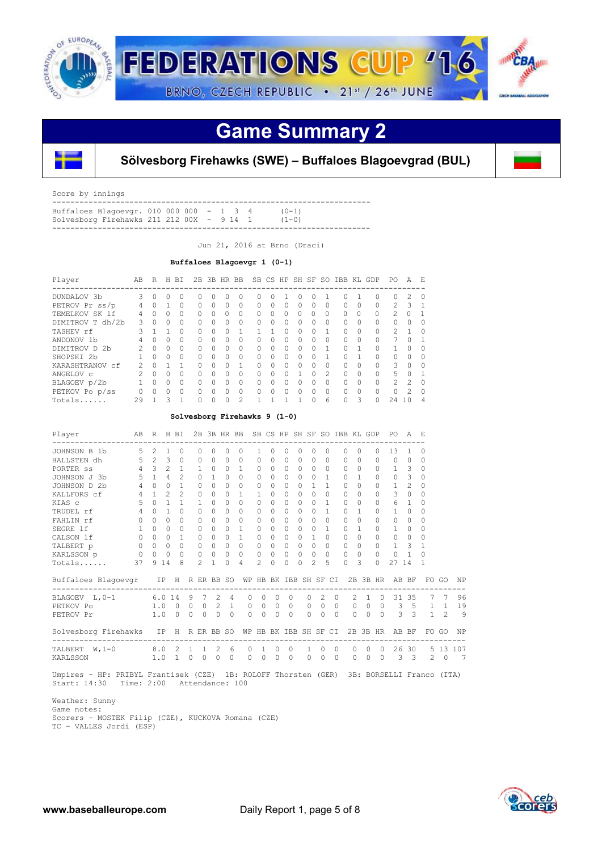

## **Game Summary 2**



**Sölvesborg Firehawks (SWE) – Buffaloes Blagoevgrad (BUL)**

Score by innings

| Buffaloes Blagoevgr. 010 000 000 - 1 3 4          |  |  |  | $(() - ]$ |  |
|---------------------------------------------------|--|--|--|-----------|--|
| Solvesborg Firehawks 211 212 00X - 9 14 1 $(1-0)$ |  |  |  |           |  |
|                                                   |  |  |  |           |  |

Jun 21, 2016 at Brno (Draci)

 **Buffaloes Blagoevgr 1 (0-1)**

| Player           | AB            | R            | H.        | BI       |           |           | 2B 3B HR BB |               |          |              |          | SB CS HP SH SF   |              |               | SO IBB   |          | KL GDP                                    | PO.            | А              | - F.     |
|------------------|---------------|--------------|-----------|----------|-----------|-----------|-------------|---------------|----------|--------------|----------|------------------|--------------|---------------|----------|----------|-------------------------------------------|----------------|----------------|----------|
| DUNDALOV 3b      | 3             | 0            | O.        | 0        | 0         |           | Ω           | $\Omega$      | 0        |              |          | $\left( \right)$ |              |               | Ω        |          | -----------------------------<br>$\Omega$ | 0              | $\mathfrak{D}$ | O        |
| PETROV Pr ss/p   | 4             | <sup>0</sup> |           | 0        | $\Omega$  | 0         | $\Omega$    | $\Omega$      | $\Omega$ | $\bigcap$    | 0        | $\Omega$         | $\Omega$     | Ω             | 0        | 0        | $\Omega$                                  | $\mathcal{P}$  | 3              |          |
| TEMELKOV SK 1f   | 4             |              | 0         | $\Omega$ | $\Omega$  | $\bigcap$ | $\Omega$    | 0             | 0        | $\Omega$     | 0        | $\Omega$         | $\Omega$     | $\Omega$      | $\Omega$ | $\Omega$ | $\Omega$                                  | $\mathcal{P}$  | $\Omega$       |          |
| DIMITROV T dh/2b | 3             | $\cap$       | 0         | $\Omega$ | $\cap$    | 0         | $\Omega$    | $\Omega$      | $\Omega$ | $\bigcap$    | 0        | $\Omega$         | $\Omega$     | 0             | $\Omega$ | 0        | $\Omega$                                  | $\Omega$       | $\bigcap$      | O        |
| TASHEV rf        | Κ             |              |           | $\cap$   | $\cap$    | Λ         | $\cap$      |               |          |              | 0        | $\Omega$         | $\Omega$     |               | $\Omega$ | $\Omega$ | $\Omega$                                  | $\mathcal{P}$  |                | ∩        |
| ANDONOV 1b       | 4             | $\cap$       | 0         | $\Omega$ | $\Omega$  | 0         | 0           | $\Omega$      | $\Omega$ | $\Omega$     | 0        | $\Omega$         | $\Omega$     | Ω             | $\Omega$ | O        | 0                                         |                | $\bigcap$      |          |
| DIMITROV D 2b    | $\mathcal{P}$ | $\cap$       | $\Omega$  | $\cap$   | $\bigcap$ | $\cap$    | $\cap$      | $\Omega$      | $\Omega$ | $\cap$       | $\Omega$ | $\Omega$         | $\cap$       |               | $\Omega$ |          | $\Omega$                                  |                | $\cap$         | ∩        |
| SHOPSKI 2b       |               | $\cap$       | $\Omega$  | $\Omega$ | $\Omega$  | 0         | $\cap$      | $\Omega$      | $\Omega$ | $\Omega$     | 0        | $\Omega$         | <sup>0</sup> |               | O        |          | $\Omega$                                  | $\Omega$       | $\bigcap$      | O        |
| KARASHTRANOV cf  | 2             | $\cap$       |           |          | $\cap$    | U         | $\Omega$    | 1             | $\Omega$ | ∩            | 0        | $\Omega$         | $\Omega$     | Ω             | $\cap$   | 0        | $\Omega$                                  | ς              | $\bigcap$      | $\cap$   |
| ANGELOV C        |               | $\cap$       | 0         | $\Omega$ | $\cap$    | 0         | 0           | $\Omega$      | $\Omega$ | O.           | O        |                  | <sup>0</sup> | $\mathcal{P}$ | $\Omega$ | O        | $\Omega$                                  | 5              | $\bigcap$      |          |
| BLAGOEV p/2b     |               | $\cap$       | $\bigcap$ | $\cap$   | $\cap$    | Λ         | $\bigcap$   | $\Omega$      | $\Omega$ | <sup>n</sup> | O        | $\Omega$         | <sup>0</sup> | Ω             | $\Omega$ | $\Omega$ | $\Omega$                                  | $\mathfrak{D}$ | $\mathcal{P}$  | $\cap$   |
| PETKOV Po p/ss   |               | $\cap$       | $\Omega$  | $\Omega$ | $\cap$    | 0         | $\Omega$    | $\Omega$      | $\Omega$ | $\cap$       | O        | $\Omega$         | $\Omega$     | $\Omega$      | $\Omega$ | $\Omega$ | $\Omega$                                  | $\Omega$       | $\mathfrak{D}$ | $\Omega$ |
| Totals           | 29            |              | 3         |          | $\cap$    | Λ         | $\cap$      | $\mathcal{P}$ |          |              |          |                  | ∩            | 6             | O        | 3        | $\Omega$                                  | 2.4            | 1 N            | Δ        |

### **Solvesborg Firehawks 9 (1-0)**

| Player                                                        | AB             | $R_{\parallel}$ |                | H BI           |              |               |                             |                |              |                         |           |          |           |               |          |          | 2B 3B HR BB SB CS HP SH SF SO IBB KL GDP |                |              |                | PO.<br>-----------        | $\mathcal{A}$           | E.                  |                 |                |
|---------------------------------------------------------------|----------------|-----------------|----------------|----------------|--------------|---------------|-----------------------------|----------------|--------------|-------------------------|-----------|----------|-----------|---------------|----------|----------|------------------------------------------|----------------|--------------|----------------|---------------------------|-------------------------|---------------------|-----------------|----------------|
| JOHNSON B 1b                                                  | .5             | $\mathfrak{D}$  | 1              | $\Omega$       |              | 0             | Ω                           | $\Omega$       | 0            | 1                       | 0         | 0        | 0         |               |          | 0        | 0                                        | $\Omega$       |              | 0              | 13                        | $\mathbf{1}$            | 0                   |                 |                |
| HALLSTEN dh                                                   | 5              | 2               | 3              | $\Omega$       |              | $\Omega$      | $\Omega$                    | $\Omega$       | $\Omega$     | $\Omega$                | $\Omega$  | 0        | $\Omega$  | $\Omega$      |          | 0        | 0                                        | $\Omega$       |              | 0              | $\Omega$                  | $\Omega$                | $\Omega$            |                 |                |
| PORTER SS                                                     | $\overline{4}$ | 3               | 2              | $\mathbf{1}$   |              | $\mathbf{1}$  | $\Omega$                    | $\Omega$       | 1            | $\Omega$                | $\cap$    | $\Omega$ | $\Omega$  | $\Omega$      |          | $\Omega$ | <sup>0</sup>                             | $\Omega$       |              | 0              | 1                         | 3                       | 0                   |                 |                |
| JOHNSON J 3b                                                  | 5              | $\overline{1}$  | $\overline{4}$ | $\mathfrak{D}$ |              | $\Omega$      | $\mathbf{1}$                | $\bigcap$      | $\cap$       | $\Omega$                | $\bigcap$ | $\Omega$ | $\Omega$  | $\Omega$      |          | 1        | <sup>n</sup>                             | 1              |              | 0              | $\Omega$                  | 3                       | 0                   |                 |                |
| JOHNSON D 2b                                                  | $\overline{4}$ | $\Omega$        | $\Omega$       | $\mathbf{1}$   |              | $\mathbf{0}$  | $\Omega$                    | $\Omega$       | $\Omega$     | 0                       | $\Omega$  | 0        | $\Omega$  |               |          | 1        | $\Omega$                                 | $\Omega$       |              | $\Omega$       | $\mathbf{1}$              | 2                       | 0                   |                 |                |
| KALLFORS cf                                                   | $\overline{4}$ | $\mathbf{1}$    | $\mathfrak{D}$ | $\mathfrak{D}$ |              | $\Omega$      | $\Omega$                    | $\bigcap$      | 1.           | 1                       | $\bigcap$ | 0        | $\bigcap$ | $\Omega$      |          | $\cap$   | $\cap$                                   | $\Omega$       |              | $\Omega$       | 3                         | $\Omega$                | $\Omega$            |                 |                |
| KIAS c                                                        | 5              | $\cap$          | $\mathbf{1}$   | $\mathbf{1}$   |              | 1             | 0                           | $\cap$         | $\cap$       | $\Omega$                | $\Omega$  | $\Omega$ | $\Omega$  | $\Omega$      |          | 1        | $\cap$                                   | $\Omega$       |              | $\Omega$       | 6                         | 1                       | 0                   |                 |                |
| TRUDEL rf                                                     | $\overline{4}$ | $\Omega$        | $\mathbf{1}$   | $\Omega$       |              | $\Omega$      | $\Omega$                    | $\Omega$       | $\Omega$     | $\Omega$                | $\Omega$  | $\Omega$ | $\Omega$  | $\Omega$      |          | 1        | $\Omega$                                 | 1              |              | $\Omega$       | 1                         | $\Omega$                | $\Omega$            |                 |                |
| FAHLIN rf                                                     | $\Omega$       | $\bigcap$       | $\Omega$       | <sup>0</sup>   |              | $\Omega$      | $\Omega$                    | $\Omega$       | $\Omega$     | $\Omega$                | $\Omega$  | 0        | $\Omega$  | $\Omega$      |          | $\Omega$ | $\cap$                                   | $\Omega$       |              | $\Omega$       | $\Omega$                  | $\Omega$                | $\Omega$            |                 |                |
| SEGRE 1f                                                      | $\mathbf{1}$   | $\Omega$        | $\Omega$       | 0              |              | 0             | $\Omega$                    | $\Omega$       | 1            | 0                       | $\Omega$  | $\Omega$ | $\Omega$  | $\Omega$      |          | 1        | $\Omega$                                 | 1              |              | 0              | 1                         | $\Omega$                | $\Omega$            |                 |                |
| CALSON 1f                                                     | $\Omega$       | $\cap$          | $\Omega$       | $\mathbf{1}$   |              | 0             | $\Omega$                    | $\cap$         | $\mathbf{1}$ | $\Omega$                | $\bigcap$ | $\Omega$ | $\Omega$  | $\mathbf{1}$  |          | $\Omega$ | $\Omega$                                 | $\Omega$       |              | $\Omega$       | $\Omega$                  | $\Omega$                | 0                   |                 |                |
| TALBERT p                                                     | $\Omega$       | $\Omega$        | $\Omega$       | $\Omega$       |              | $\Omega$      | $\Omega$                    | $\Omega$       | $\Omega$     | $\Omega$                | $\Omega$  | $\Omega$ | $\Omega$  | $\Omega$      |          | $\Omega$ | $\cap$                                   | $\Omega$       |              | $\Omega$       | $\mathbf{1}$              | 3                       | $\mathbf{1}$        |                 |                |
| KARLSSON p                                                    | 0              | $\Omega$        | $\Omega$       | $\Omega$       |              | 0             | 0                           | $\Omega$       | $\Omega$     | 0                       | $\Omega$  | $\Omega$ | $\Omega$  | $\Omega$      |          | $\Omega$ | $\Omega$                                 | $\Omega$       |              | $\Omega$       | $\Omega$                  | $\overline{1}$          | $\Omega$            |                 |                |
| Totals                                                        | 37             | 9               | 14             | 8              |              | $\mathcal{L}$ | 1                           | $\Omega$       | 4            | $\mathfrak{D}$          | $\Omega$  | 0        | $\Omega$  | $\mathcal{L}$ |          | 5        | $\Omega$                                 | 3              |              | $\Omega$       | 27 14                     |                         | 1                   |                 |                |
| Buffaloes Blagoevgr IP                                        |                |                 |                | H              |              |               | R ER BB SO                  |                |              | WP HB BK IBB SH SF CI   |           |          |           |               |          |          |                                          |                |              | 2B 3B HR       |                           | AB BF                   |                     | FO GO           | NP             |
| BLAGOEV L, 0-1                                                | 6.0 14         |                 |                |                | 9            | 7             | 2                           | $\overline{4}$ |              | $\Omega$<br>$\Omega$    | $\Omega$  | 0        |           | $\Omega$      | 2        |          | $\Omega$                                 | $\mathfrak{D}$ | $\mathbf{1}$ | $\Omega$       |                           | 31 35                   | $7\overline{ }$     | $7\phantom{.0}$ | 96             |
| PETKOV Po                                                     |                |                 | 1.0            | $\overline{0}$ | $\circ$      | $\circ$       | 2                           | $\mathbf{1}$   |              | $\mathbf{0}$<br>$\circ$ | $\Omega$  | $\Omega$ |           | $\circ$       | $\circ$  |          | $\Omega$                                 | $\circ$        | $\circ$      | $\overline{0}$ |                           |                         | $3 \quad 5 \quad 1$ | $\mathbf{1}$    | 19             |
| PETROV Pr                                                     |                | 1.0             |                | $\mathbf{0}$   | $\mathbf{0}$ | $\circ$       | $\Omega$                    | $\Omega$       |              | $\Omega$<br>$\circ$     | $\Omega$  | $\Omega$ |           | $\Omega$      | $\Omega$ |          | $\Omega$                                 | $\Omega$       | $\Omega$     | $\Omega$       | 3                         | $\overline{\mathbf{3}}$ | $\mathbf{1}$        | 2               | 9              |
| Solvesborg Firehawks<br>-------------------------             |                |                 | IP             | H              |              |               | R ER BB SO<br>------------- |                |              | WP HB BK IBB SH SF CI   |           |          |           |               |          |          | ------------                             |                |              | 2B 3B HR       | AB                        | BF                      | -----------         | FO GO           | NP             |
| TALBERT W, 1-0                                                |                |                 | 8.0 2          |                | $\mathbf{1}$ | 1             | - 2                         | 6              |              | $\Omega$<br>1           | $\Omega$  | $\Omega$ |           | 1             | $\Omega$ |          | $\Omega$                                 | 0              | $\Omega$     | $\Omega$       | 26                        | 30                      |                     |                 | 5 13 107       |
| KARLSSON                                                      |                | 1.0             |                | $\mathbf{1}$   | $\circ$      | $\circ$       | $\Omega$                    | $\circ$        |              | $\circ$<br>$\circ$      | 0         | $\Omega$ |           | $\Omega$      | $\circ$  |          | $\circ$                                  | 0              | 0            | $\circ$        | 3                         | $\overline{\mathbf{3}}$ | 2                   | $\circ$         | $\overline{7}$ |
| Hmpires HD, DDIDVI Prostigal: (CEP) 1D, DOLOPP Bharaton (CPD) |                |                 |                |                |              |               |                             |                |              |                         |           |          |           |               |          |          |                                          |                |              |                | 2D. DODGETTT Exerce (TEA) |                         |                     |                 |                |

 Umpires - HP: PRIBYL Frantisek (CZE) 1B: ROLOFF Thorsten (GER) 3B: BORSELLI Franco (ITA) Start: 14:30 Time: 2:00 Attendance: 100

 Weather: Sunny Game notes: Scorers – MOSTEK Filip (CZE), KUCKOVA Romana (CZE) TC – VALLES Jordi (ESP)

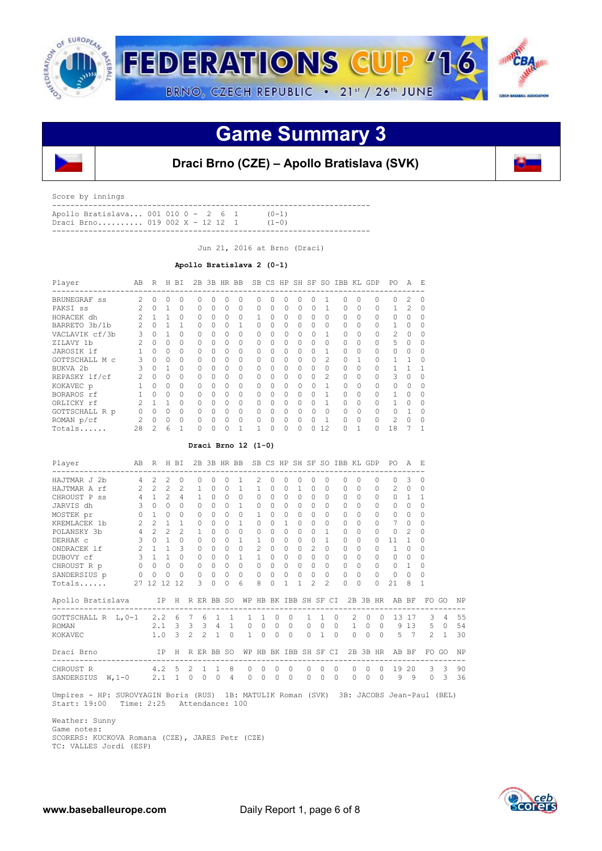

## **Game Summary 3**



### **Draci Brno (CZE) – Apollo Bratislava (SVK)**

Score by innings

| Apollo Bratislava 001 010 0 - 2 6 1              |  |  |  | $(0-1)$ |  |
|--------------------------------------------------|--|--|--|---------|--|
| Draci Brno 019 002 $X = 12 \quad 1 \qquad (1-0)$ |  |  |  |         |  |
|                                                  |  |  |  |         |  |

Jun 21, 2016 at Brno (Draci)

#### **Apollo Bratislava 2 (0-1)**

| Player         | AB                | R        | Н | BI       | 2B       | 3B HR BB |          |          |   |              |   | SB CS HP SH SF |              | SO.           | IBB KL   |        | GDP      | PO.      | $\mathcal{A}$ | F.       |
|----------------|-------------------|----------|---|----------|----------|----------|----------|----------|---|--------------|---|----------------|--------------|---------------|----------|--------|----------|----------|---------------|----------|
| BRUNEGRAF ss   |                   | O        | 0 | 0        |          |          |          | 0        |   |              | Λ | Ω              |              |               | 0        |        | 0        | 0        |               |          |
| PAKSI ss       |                   | U        |   | 0        | 0        | 0        | 0        | 0        | 0 | $\Omega$     | 0 | $\Omega$       |              |               | $\Omega$ | 0      | 0        |          |               | 0        |
| HORACEK dh     |                   |          |   | $\Omega$ | 0        | O        | $\Omega$ | 0        |   |              | 0 | 0              | 0            |               | O        | 0      | 0        | O        |               |          |
| BARRETO 3b/1b  |                   |          |   |          | 0        | O        | $\Omega$ |          | O |              | O | 0              | 0            |               | O        | 0      | $\Omega$ |          | $\Omega$      |          |
| VACLAVIK cf/3b | 3                 | 0        |   | $\Omega$ | 0        | O        | 0        | 0        | 0 | $\cup$       | 0 | 0              |              |               | $\Omega$ | 0      | $\Omega$ | 2        | $\bigcap$     | 0        |
| ZILAVY 1b      | $\mathcal{D}_{1}$ | $\Omega$ | 0 | $\Omega$ | 0        | 0        | $\Omega$ | $\Omega$ | 0 | <sup>0</sup> | 0 | 0              | 0            | 0             | O        | 0      | $\Omega$ | 5        | $\Omega$      | 0        |
| JAROSIK 1f     |                   | $\Omega$ | 0 | $\Omega$ | O        | $\Omega$ | $\Omega$ | $\Omega$ | O | <sup>0</sup> | O | $\Omega$       | $\Omega$     |               | O        | O      | $\Omega$ | 0        | $\Omega$      |          |
| GOTTSCHALL M C | 3                 | $\cap$   | 0 | $\Omega$ | O        | 0        | $\Omega$ | 0        | 0 | <sup>0</sup> | Ω | $\Omega$       | <sup>0</sup> | $\mathcal{L}$ | $\Omega$ |        | $\Omega$ |          |               | $\Omega$ |
| BUKVA 2b       | 3                 | $\Omega$ | 1 | $\Omega$ | $\Omega$ | O        | $\Omega$ | $\Omega$ | 0 | <sup>0</sup> | Ω | 0              | 0            |               | O        | O      | $\Omega$ |          |               |          |
| REPASKY lf/cf  | 2                 | $\Omega$ | 0 | $\Omega$ | O        | O        | $\Omega$ | $\Omega$ | Ω | <sup>0</sup> | O | 0              | $\Omega$     | $\mathcal{L}$ | 0        | O      | $\Omega$ | 3        | $\Omega$      |          |
| KOKAVEC p      |                   | $\Omega$ | 0 | $\Omega$ | $\Omega$ | O        | $\Omega$ | $\Omega$ | O | 0            | 0 | $\Omega$       | 0            |               | $\Omega$ | $\cap$ | $\Omega$ | $\Omega$ | $\Omega$      | Ω        |
| BORAROS rf     |                   | U        | 0 | $\Omega$ | O        | O        | $\Omega$ | $\Omega$ |   |              | O | 0              |              |               | O        | O      | $\Omega$ |          | $\Omega$      |          |
| ORLICKY rf     |                   |          |   | $\Omega$ | Ω        | U        | $\Omega$ | $\Omega$ |   |              | Ω | Ω              | $\Omega$     |               | O        | O      | $\cap$   |          | $\cap$        |          |
| GOTTSCHALL R p |                   | U        | 0 | $\Omega$ | Λ        |          | $\Omega$ | $\Omega$ |   |              | Λ | O              |              |               | $\Omega$ |        | $\cap$   | $\cap$   |               |          |
| ROMAN p/cf     |                   | O.       | 0 | $\Omega$ | Ω        | Λ        | $\Omega$ | $\Omega$ |   | ∩            | Ω | 0              | $\Omega$     |               | O        | O      | $\cap$   | 2        | $\Omega$      |          |
| Totals         | 28                | 2        | 6 |          |          |          |          |          |   | $\Omega$     | 0 | 0              |              | 12            | O        |        | 0        | 18       |               |          |

### **Draci Brno 12 (1-0)**

| Player                        |                | AB R H BI           |                       |                |          |               |                |                | 2B 3B HR BB SB CS HP SH SF SO IBB KL GDP |                          |          |                |                |          |                      |          |            |             |          |           | PO.                 | A E            |          |                                 |    |
|-------------------------------|----------------|---------------------|-----------------------|----------------|----------|---------------|----------------|----------------|------------------------------------------|--------------------------|----------|----------------|----------------|----------|----------------------|----------|------------|-------------|----------|-----------|---------------------|----------------|----------|---------------------------------|----|
| HAJTMAR J 2b                  | $\overline{4}$ | $2^{\circ}$         | $\mathcal{L}$         | $\Omega$       |          | $\Omega$      |                | $\Omega$       | $\mathbf{1}$                             | $\mathcal{L}$            | 0        | $\Omega$       | $\Omega$       | 0        | $\Omega$             |          | $\Omega$   | $\Omega$    |          | $\Omega$  | 0                   | 3              | $\Omega$ |                                 |    |
| HAJTMAR A rf                  | $2^{\circ}$    |                     | $2 \quad 2$           | $\mathcal{L}$  |          | $\mathbf{1}$  | $\Omega$       | $\Omega$       | $\mathbf{1}$                             | $\mathbf{1}$             | $\Omega$ | $\Omega$       | $\mathbf{1}$   | $\Omega$ | $\Omega$             |          | $\Omega$   | $\Omega$    |          |           | $2^{\circ}$         | $\Omega$       | $\Omega$ |                                 |    |
| CHROUST P ss                  | 4 1 2          |                     |                       | $\overline{4}$ |          | $\mathbf{1}$  | $\overline{0}$ |                | $0 \quad 0$                              | $\Omega$                 | $\Omega$ | $\Omega$       | $\circ$        |          | $\Omega$<br>$\Omega$ |          | $\Omega$   | $\Omega$    |          | $\Omega$  | $\Omega$            | 1 1            |          |                                 |    |
| JARVIS dh                     |                | $3 \quad 0$         | $\circ$               | $\Omega$       |          | $\Omega$      | $\Omega$       | $\Omega$       | $\mathbf{1}$                             | $\Omega$                 | $\cap$   | $\Omega$       | $\Omega$       | $\Omega$ | $\Omega$             |          | $\Omega$   | $\Omega$    |          | $\bigcap$ | $\Omega$            | $\Omega$       | $\Omega$ |                                 |    |
| MOSTEK pr                     |                | $0\quad 1\quad 0$   |                       | $\Omega$       |          | $\Omega$      | $\Omega$       | $\cap$         | $\Omega$                                 | $\mathbf{1}$             | $\Omega$ | $\Omega$       | $\Omega$       | $\Omega$ | $\Omega$             |          | $\Omega$   | $\Omega$    |          | $\Omega$  | $\Omega$            | $\Omega$       | $\Omega$ |                                 |    |
| KREMLACEK 1b                  |                | $2 \quad 2 \quad 1$ |                       | $\overline{1}$ |          | $\Omega$      | $\Omega$       | $\Omega$       | $\mathbf{1}$                             | $\Omega$                 | $\Omega$ | 1              | $\Omega$       | $\Omega$ | $\Omega$             |          | $\Omega$   | $\Omega$    |          |           | 7                   | $\Omega$       | $\Omega$ |                                 |    |
| POLANSKY 3b                   |                | 4   2   2   2   1   |                       |                |          |               | $\Omega$       | $\Omega$       | $\Omega$                                 | $\circ$                  | $\Omega$ | $\Omega$       | $\circ$        | $\Omega$ | $\mathbf{1}$         |          | $\Omega$   | $\Omega$    |          | $\Omega$  | $\mathbf{0}$        | $\mathfrak{D}$ | $\Omega$ |                                 |    |
| DERHAK C                      |                | $3 \t0 \t1$         |                       |                | $\Omega$ | $\Omega$      | $\circ$        | $\Omega$       | $\mathbf{1}$                             | $\mathbf{1}$             | $\Omega$ | $\Omega$       | $\overline{0}$ | $\Omega$ | $\mathbf{1}$         |          | $\Omega$   | $\Omega$    |          | $\Omega$  | 11                  | 1              | $\Omega$ |                                 |    |
| ONDRACEK 1f                   | $\overline{2}$ |                     | $1 \quad 1$           | $\mathcal{L}$  |          | $\Omega$      | $\Omega$       | $\Omega$       | $\Omega$                                 | $\mathfrak{D}$           | $\cap$   | $\Omega$       | $\Omega$       | 2        | $\Omega$             |          | $\bigcap$  | $\Omega$    |          |           | $\mathbf{1}$        | $\Omega$       |          |                                 |    |
| DUBOVY cf                     |                | $3 \t1 \t1 \t0$     |                       |                |          | $\Omega$      | $\Omega$       |                | $0 \quad 1$                              | $\mathbf{1}$             | $\cap$   | $\Omega$       | $\Omega$       |          | $\Omega$<br>$\Omega$ |          | $\Omega$   | $\Omega$    |          | $\Omega$  | $\Omega$            | $\cap$         | $\Omega$ |                                 |    |
| CHROUST R p                   |                | $\overline{0}$      | $0\quad 0$            | $\circ$        |          | $\Omega$      | $\circ$        | $\Omega$       | $\Omega$                                 | $\Omega$                 | $\Omega$ | $\Omega$       | $\Omega$       | $\Omega$ | $\Omega$             |          | $\Omega$   | $\Omega$    |          | $\Omega$  | $\Omega$            | $\mathbf{1}$   | $\Omega$ |                                 |    |
| SANDERSIUS p                  | $\circ$        | $\circ$             | $\bigcirc$            | $\Omega$       |          | $\Omega$      | $\circ$        | $\Omega$       | $\Omega$                                 | $\circ$                  | $\Omega$ | $\circ$        | $\circ$        | $\circ$  | $\circ$              |          | $\circ$    | $\circ$     |          | $\Omega$  | $\circ$             | $\Omega$       | $\Omega$ |                                 |    |
| Totals                        |                | 27 12 12 12         |                       |                |          | $\mathcal{L}$ | $\Omega$       | $\Omega$       | 6                                        | 8                        | $\Omega$ | $\mathbf{1}$   | $\overline{1}$ | 2        | $\mathfrak{D}$       |          | $\Omega$   | $\Omega$    |          | $\Omega$  | 21                  | 8              | 1        |                                 |    |
| Apollo Bratislava             |                |                     |                       |                |          |               |                |                | IP H R ER BB SO WP HB BK IBB SH SF CI    |                          |          |                |                |          |                      |          |            |             |          |           | 2B 3B HR AB BF      |                |          | FO GO                           | NP |
| GOTTSCHALL R $L, 0-1$ 2.2 6 7 |                |                     |                       |                |          | 6             |                | 1 1            | $\mathbf{1}$                             | $\overline{1}$           | $\circ$  | $\Omega$       |                |          | $1 \quad 1$          | $\Omega$ |            | $2^{\circ}$ | $\Omega$ | $\circ$   |                     | 13 17          |          | $\mathcal{E}$<br>$\overline{4}$ | 55 |
| <b>ROMAN</b>                  |                |                     | 2.1 3 3 3 4 1         |                |          |               |                |                | $\Omega$                                 | $\circ$                  | $\circ$  | $\circ$        |                | $\circ$  | $\circ$              |          | $0\qquad1$ |             | $\circ$  |           | $0$ 9 13 5 0        |                |          |                                 | 54 |
| KOKAVEC                       |                |                     | $1.0$ 3 2 2 1         |                |          |               |                | $\overline{0}$ |                                          | $\mathbf{1}$<br>$\Omega$ | $\circ$  | $\overline{0}$ |                |          | $0 \quad 1$          | $\Omega$ |            | $\Omega$    | $\Omega$ |           | $0 \quad 5 \quad 7$ |                |          | $2 \quad 1$                     | 30 |
| Draci Brno                    |                | IP H R ER BB SO     |                       |                |          |               |                |                | WP HB BK IBB SH SF CI                    |                          |          |                |                |          |                      |          |            |             |          | 2B 3B HR  | AB BF               |                |          | FO GO                           | NP |
| CHROUST R                     |                |                     | $4.2 \quad 5 \quad 2$ |                |          | $\mathbf{1}$  | $\overline{1}$ | 8              | $\Omega$                                 | $\Omega$                 | $\Omega$ | $\Omega$       |                | $\Omega$ | $\Omega$             | $\Omega$ |            | $\bigcap$   | $\Omega$ | $\Omega$  | 19                  | 20             | 3        | 3                               | 90 |
| SANDERSIUS W, 1-0             |                |                     | $2.1 \t1 \t0$         |                |          | $\mathbf{0}$  | $\circ$        | $\overline{4}$ | 0                                        | $\circ$                  | $\circ$  | $\circ$        |                | $\circ$  | $\circ$              | $\circ$  |            | 0           | 0        | $\circ$   | 9                   | 9              | $\circ$  | 3                               | 36 |

 Umpires - HP: SUROVYAGIN Boris (RUS) 1B: MATULIK Roman (SVK) 3B: JACOBS Jean-Paul (BEL) Start: 19:00 Time: 2:25 Attendance: 100

 Weather: Sunny Game notes: SCORERS: KUCKOVA Romana (CZE), JARES Petr (CZE) TC: VALLES Jordi (ESP)

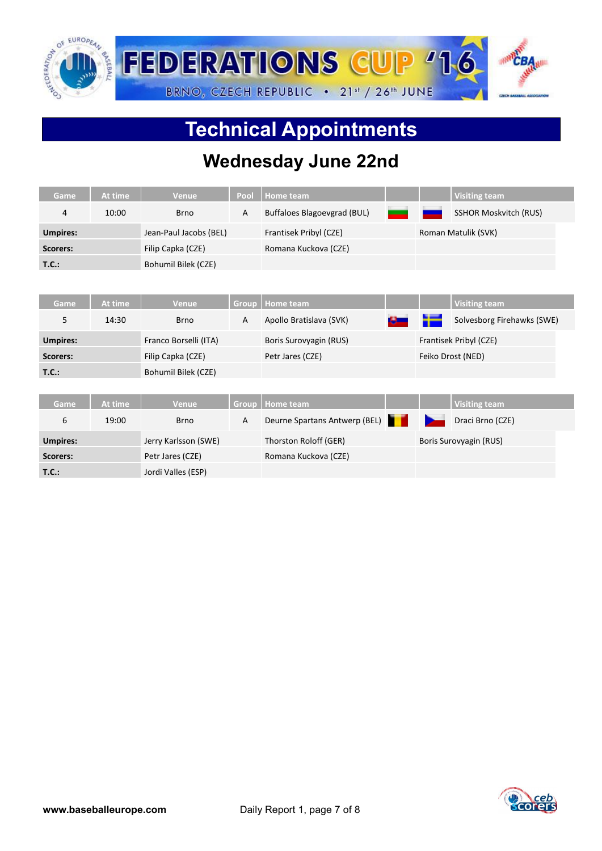

# **Technical Appointments**

## **Wednesday June 22nd**

| Game            | At time | <b>Venue</b>           | Pool         | Home team                     |   | <b>Visiting team</b>         |
|-----------------|---------|------------------------|--------------|-------------------------------|---|------------------------------|
| 4               | 10:00   | <b>Brno</b>            | $\mathsf{A}$ | Buffaloes Blagoevgrad (BUL)   |   | <b>SSHOR Moskvitch (RUS)</b> |
| <b>Umpires:</b> |         | Jean-Paul Jacobs (BEL) |              | Frantisek Pribyl (CZE)        |   | Roman Matulik (SVK)          |
| Scorers:        |         | Filip Capka (CZE)      |              | Romana Kuckova (CZE)          |   |                              |
| T.C.:           |         | Bohumil Bilek (CZE)    |              |                               |   |                              |
|                 |         |                        |              |                               |   |                              |
| Game            | At time | <b>Venue</b>           | Group        | <b>Home team</b>              |   | <b>Visiting team</b>         |
| 5               | 14:30   | <b>Brno</b>            | $\mathsf{A}$ | Apollo Bratislava (SVK)       | ш | Solvesborg Firehawks (SWE)   |
| <b>Umpires:</b> |         | Franco Borselli (ITA)  |              | Boris Surovyagin (RUS)        |   | Frantisek Pribyl (CZE)       |
| Scorers:        |         | Filip Capka (CZE)      |              | Petr Jares (CZE)              |   | Feiko Drost (NED)            |
| T.C.:           |         | Bohumil Bilek (CZE)    |              |                               |   |                              |
|                 |         |                        |              |                               |   |                              |
| Game            | At time | <b>Venue</b>           | <b>Group</b> | <b>Home team</b>              |   | <b>Visiting team</b>         |
| 6               | 19:00   | <b>Brno</b>            | $\mathsf{A}$ | Deurne Spartans Antwerp (BEL) |   | Draci Brno (CZE)             |
| <b>Umpires:</b> |         | Jerry Karlsson (SWE)   |              | Thorston Roloff (GER)         |   | Boris Surovyagin (RUS)       |
| Scorers:        |         | Petr Jares (CZE)       |              | Romana Kuckova (CZE)          |   |                              |
| T.C.:           |         | Jordi Valles (ESP)     |              |                               |   |                              |